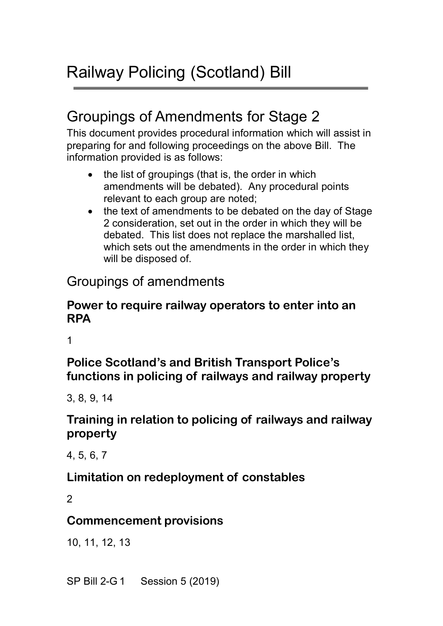# Groupings of Amendments for Stage 2

This document provides procedural information which will assist in preparing for and following proceedings on the above Bill. The information provided is as follows:

- the list of groupings (that is, the order in which amendments will be debated). Any procedural points relevant to each group are noted;
- the text of amendments to be debated on the day of Stage 2 consideration, set out in the order in which they will be debated. This list does not replace the marshalled list, which sets out the amendments in the order in which they will be disposed of.

## Groupings of amendments

#### **Power to require railway operators to enter into an RPA**

1

**Police Scotland's and British Transport Police's functions in policing of railways and railway property**

3, 8, 9, 14

#### **Training in relation to policing of railways and railway property**

4, 5, 6, 7

#### **Limitation on redeployment of constables**

 $\mathfrak{p}$ 

#### **Commencement provisions**

10, 11, 12, 13

SP Bill 2-G 1 Session 5 (2019)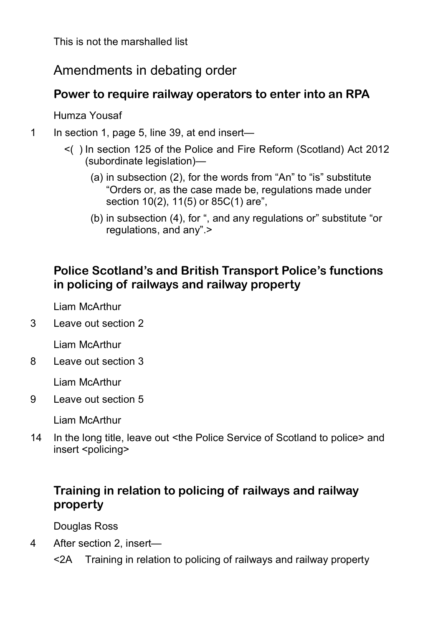### Amendments in debating order

#### **Power to require railway operators to enter into an RPA**

Humza Yousaf

1 In section 1, page 5, line 39, at end insert—

- <( ) In section 125 of the Police and Fire Reform (Scotland) Act 2012 (subordinate legislation)—
	- (a) in subsection (2), for the words from "An" to "is" substitute "Orders or, as the case made be, regulations made under section 10(2), 11(5) or 85C(1) are",
	- (b) in subsection (4), for ", and any regulations or" substitute "or regulations, and any".>

### **Police Scotland's and British Transport Police's functions in policing of railways and railway property**

Liam McArthur

3 Leave out section 2

Liam McArthur

8 Leave out section 3

Liam McArthur

9 Leave out section 5

Liam McArthur

14 In the long title, leave out <the Police Service of Scotland to police> and insert <policing>

#### **Training in relation to policing of railways and railway property**

Douglas Ross

- 4 After section 2, insert—
	- <2A Training in relation to policing of railways and railway property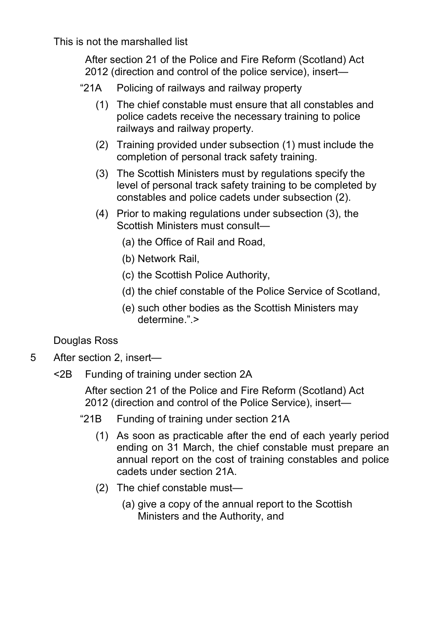After section 21 of the Police and Fire Reform (Scotland) Act 2012 (direction and control of the police service), insert—

- "21A Policing of railways and railway property
	- (1) The chief constable must ensure that all constables and police cadets receive the necessary training to police railways and railway property.
	- (2) Training provided under subsection (1) must include the completion of personal track safety training.
	- (3) The Scottish Ministers must by regulations specify the level of personal track safety training to be completed by constables and police cadets under subsection (2).
	- (4) Prior to making regulations under subsection (3), the Scottish Ministers must consult—
		- (a) the Office of Rail and Road,
		- (b) Network Rail,
		- (c) the Scottish Police Authority,
		- (d) the chief constable of the Police Service of Scotland,
		- (e) such other bodies as the Scottish Ministers may determine.".>

#### Douglas Ross

- 5 After section 2, insert—
	- <2B Funding of training under section 2A

After section 21 of the Police and Fire Reform (Scotland) Act 2012 (direction and control of the Police Service), insert—

- "21B Funding of training under section 21A
	- (1) As soon as practicable after the end of each yearly period ending on 31 March, the chief constable must prepare an annual report on the cost of training constables and police cadets under section 21A.
	- (2) The chief constable must—
		- (a) give a copy of the annual report to the Scottish Ministers and the Authority, and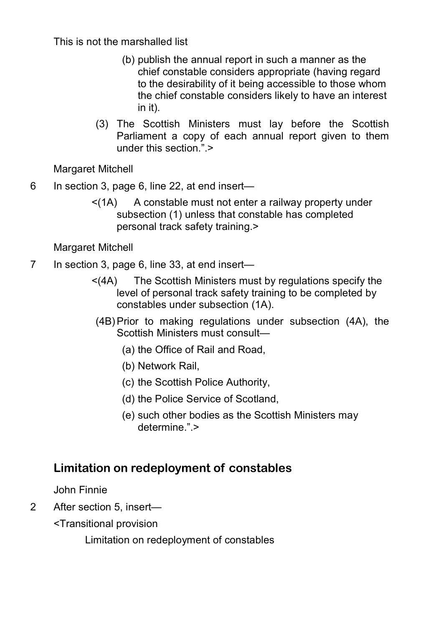- (b) publish the annual report in such a manner as the chief constable considers appropriate (having regard to the desirability of it being accessible to those whom the chief constable considers likely to have an interest in it).
- (3) The Scottish Ministers must lay before the Scottish Parliament a copy of each annual report given to them under this section.">

Margaret Mitchell

- 6 In section 3, page 6, line 22, at end insert—
	- $\leq$  (1A) A constable must not enter a railway property under subsection (1) unless that constable has completed personal track safety training.>

Margaret Mitchell

- 7 In section 3, page 6, line 33, at end insert—
	- <(4A) The Scottish Ministers must by regulations specify the level of personal track safety training to be completed by constables under subsection (1A).
	- (4B)Prior to making regulations under subsection (4A), the Scottish Ministers must consult—
		- (a) the Office of Rail and Road,
		- (b) Network Rail,
		- (c) the Scottish Police Authority,
		- (d) the Police Service of Scotland,
		- (e) such other bodies as the Scottish Ministers may determine.".>

#### **Limitation on redeployment of constables**

John Finnie

- 2 After section 5, insert—
	- <Transitional provision

Limitation on redeployment of constables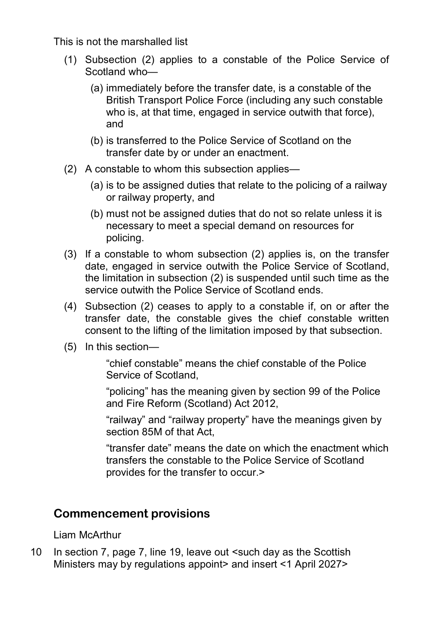- (1) Subsection (2) applies to a constable of the Police Service of Scotland who—
	- (a) immediately before the transfer date, is a constable of the British Transport Police Force (including any such constable who is, at that time, engaged in service out with that force). and
	- (b) is transferred to the Police Service of Scotland on the transfer date by or under an enactment.
- (2) A constable to whom this subsection applies—
	- (a) is to be assigned duties that relate to the policing of a railway or railway property, and
	- (b) must not be assigned duties that do not so relate unless it is necessary to meet a special demand on resources for policing.
- (3) If a constable to whom subsection (2) applies is, on the transfer date, engaged in service outwith the Police Service of Scotland, the limitation in subsection (2) is suspended until such time as the service outwith the Police Service of Scotland ends.
- (4) Subsection (2) ceases to apply to a constable if, on or after the transfer date, the constable gives the chief constable written consent to the lifting of the limitation imposed by that subsection.
- (5) In this section—

"chief constable" means the chief constable of the Police Service of Scotland,

"policing" has the meaning given by section 99 of the Police and Fire Reform (Scotland) Act 2012,

"railway" and "railway property" have the meanings given by section 85M of that Act,

"transfer date" means the date on which the enactment which transfers the constable to the Police Service of Scotland provides for the transfer to occur.>

#### **Commencement provisions**

Liam McArthur

10 In section 7, page 7, line 19, leave out <such day as the Scottish Ministers may by regulations appoint> and insert <1 April 2027>